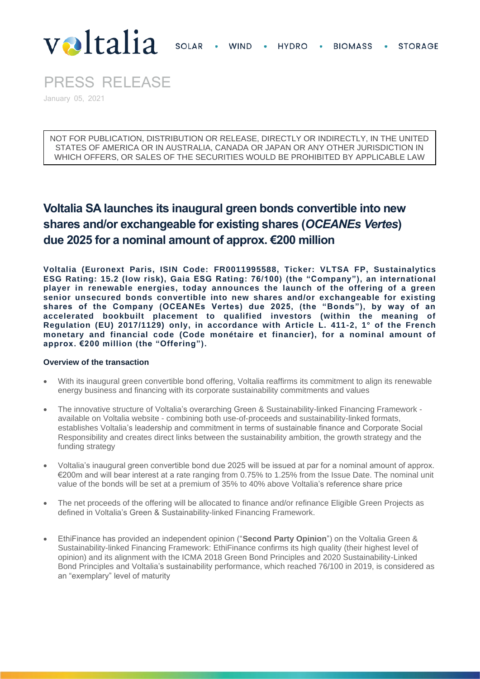

January 05, 2021

NOT FOR PUBLICATION, DISTRIBUTION OR RELEASE, DIRECTLY OR INDIRECTLY, IN THE UNITED STATES OF AMERICA OR IN AUSTRALIA, CANADA OR JAPAN OR ANY OTHER JURISDICTION IN WHICH OFFERS, OR SALES OF THE SECURITIES WOULD BE PROHIBITED BY APPLICABLE LAW

# **Voltalia SA launches its inaugural green bonds convertible into new shares and/or exchangeable for existing shares (***OCEANEs Vertes***) due 2025 for a nominal amount of approx. €200 million**

**Voltalia (Euronext Paris, ISIN Code: FR0011995588, Ticker: VLTSA FP, Sustainalytics ESG Rating: 15.2 (low risk), Gaia ESG Rating: 76/100) (the "Company"), an international player in renewable energies, today announces the launch of the offering of a green senior unsecured bonds convertible into new shares and/or exchangeable for existing shares of the Company (OCEANEs Vertes) due 2025, (the "Bonds"), by way of an accelerated bookbuilt placement to qualified investors (within the meaning of Regulation (EU) 2017/1129) only, in accordance with Article L. 411-2, 1° of the French monetary and financial code (Code monétaire et financier), for a nominal amount of approx. €200 million (the "Offering").**

### **Overview of the transaction**

- With its inaugural green convertible bond offering, Voltalia reaffirms its commitment to align its renewable energy business and financing with its corporate sustainability commitments and values
- The innovative structure of Voltalia's overarching Green & Sustainability-linked Financing Framework available on Voltalia website - combining both use-of-proceeds and sustainability-linked formats, establishes Voltalia's leadership and commitment in terms of sustainable finance and Corporate Social Responsibility and creates direct links between the sustainability ambition, the growth strategy and the funding strategy
- Voltalia's inaugural green convertible bond due 2025 will be issued at par for a nominal amount of approx. €200m and will bear interest at a rate ranging from 0.75% to 1.25% from the Issue Date. The nominal unit value of the bonds will be set at a premium of 35% to 40% above Voltalia's reference share price
- The net proceeds of the offering will be allocated to finance and/or refinance Eligible Green Projects as defined in Voltalia's Green & Sustainability-linked Financing Framework.
- EthiFinance has provided an independent opinion ("**Second Party Opinion**") on the Voltalia Green & Sustainability-linked Financing Framework: EthiFinance confirms its high quality (their highest level of opinion) and its alignment with the ICMA 2018 Green Bond Principles and 2020 Sustainability-Linked Bond Principles and Voltalia's sustainability performance, which reached 76/100 in 2019, is considered as an "exemplary" level of maturity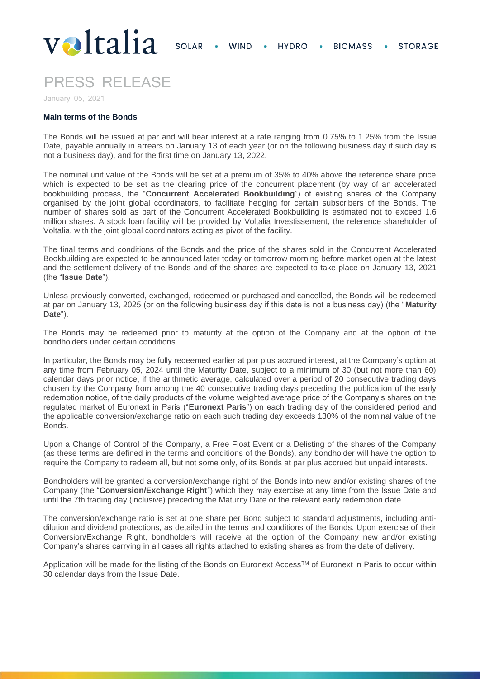



January 05, 2021

### **Main terms of the Bonds**

The Bonds will be issued at par and will bear interest at a rate ranging from 0.75% to 1.25% from the Issue Date, payable annually in arrears on January 13 of each year (or on the following business day if such day is not a business day), and for the first time on January 13, 2022.

The nominal unit value of the Bonds will be set at a premium of 35% to 40% above the reference share price which is expected to be set as the clearing price of the concurrent placement (by way of an accelerated bookbuilding process, the "**Concurrent Accelerated Bookbuilding**") of existing shares of the Company organised by the joint global coordinators, to facilitate hedging for certain subscribers of the Bonds. The number of shares sold as part of the Concurrent Accelerated Bookbuilding is estimated not to exceed 1.6 million shares. A stock loan facility will be provided by Voltalia Investissement, the reference shareholder of Voltalia, with the joint global coordinators acting as pivot of the facility.

The final terms and conditions of the Bonds and the price of the shares sold in the Concurrent Accelerated Bookbuilding are expected to be announced later today or tomorrow morning before market open at the latest and the settlement-delivery of the Bonds and of the shares are expected to take place on January 13, 2021 (the "**Issue Date**").

Unless previously converted, exchanged, redeemed or purchased and cancelled, the Bonds will be redeemed at par on January 13, 2025 (or on the following business day if this date is not a business day) (the "**Maturity Date**").

The Bonds may be redeemed prior to maturity at the option of the Company and at the option of the bondholders under certain conditions.

In particular, the Bonds may be fully redeemed earlier at par plus accrued interest, at the Company's option at any time from February 05, 2024 until the Maturity Date, subject to a minimum of 30 (but not more than 60) calendar days prior notice, if the arithmetic average, calculated over a period of 20 consecutive trading days chosen by the Company from among the 40 consecutive trading days preceding the publication of the early redemption notice, of the daily products of the volume weighted average price of the Company's shares on the regulated market of Euronext in Paris ("**Euronext Paris**") on each trading day of the considered period and the applicable conversion/exchange ratio on each such trading day exceeds 130% of the nominal value of the Bonds.

Upon a Change of Control of the Company, a Free Float Event or a Delisting of the shares of the Company (as these terms are defined in the terms and conditions of the Bonds), any bondholder will have the option to require the Company to redeem all, but not some only, of its Bonds at par plus accrued but unpaid interests.

Bondholders will be granted a conversion/exchange right of the Bonds into new and/or existing shares of the Company (the "**Conversion/Exchange Right**") which they may exercise at any time from the Issue Date and until the 7th trading day (inclusive) preceding the Maturity Date or the relevant early redemption date.

The conversion/exchange ratio is set at one share per Bond subject to standard adjustments, including antidilution and dividend protections, as detailed in the terms and conditions of the Bonds. Upon exercise of their Conversion/Exchange Right, bondholders will receive at the option of the Company new and/or existing Company's shares carrying in all cases all rights attached to existing shares as from the date of delivery.

Application will be made for the listing of the Bonds on Euronext Access™ of Euronext in Paris to occur within 30 calendar days from the Issue Date.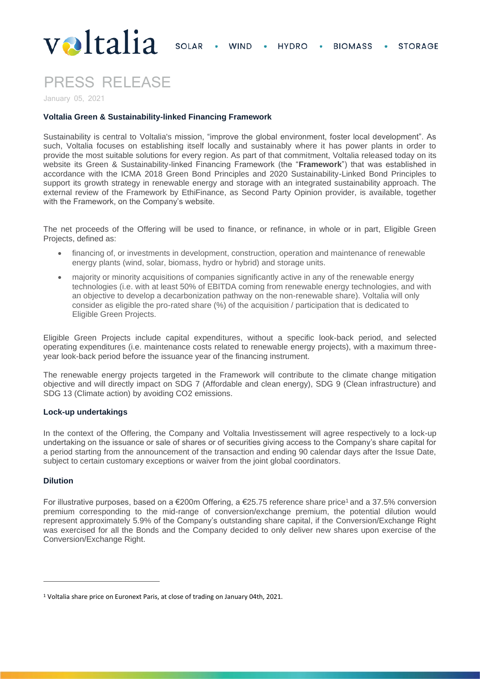

January 05, 2021

# **Voltalia Green & Sustainability-linked Financing Framework**

Sustainability is central to Voltalia's mission, "improve the global environment, foster local development". As such, Voltalia focuses on establishing itself locally and sustainably where it has power plants in order to provide the most suitable solutions for every region. As part of that commitment, Voltalia released today on its website its Green & Sustainability-linked Financing Framework (the "**Framework**") that was established in accordance with the ICMA 2018 Green Bond Principles and 2020 Sustainability-Linked Bond Principles to support its growth strategy in renewable energy and storage with an integrated sustainability approach. The external review of the Framework by EthiFinance, as Second Party Opinion provider, is available, together with the Framework, on the Company's website.

The net proceeds of the Offering will be used to finance, or refinance, in whole or in part, Eligible Green Projects, defined as:

- financing of, or investments in development, construction, operation and maintenance of renewable energy plants (wind, solar, biomass, hydro or hybrid) and storage units.
- majority or minority acquisitions of companies significantly active in any of the renewable energy technologies (i.e. with at least 50% of EBITDA coming from renewable energy technologies, and with an objective to develop a decarbonization pathway on the non-renewable share). Voltalia will only consider as eligible the pro-rated share (%) of the acquisition / participation that is dedicated to Eligible Green Projects.

Eligible Green Projects include capital expenditures, without a specific look-back period, and selected operating expenditures (i.e. maintenance costs related to renewable energy projects), with a maximum threeyear look-back period before the issuance year of the financing instrument.

The renewable energy projects targeted in the Framework will contribute to the climate change mitigation objective and will directly impact on SDG 7 (Affordable and clean energy), SDG 9 (Clean infrastructure) and SDG 13 (Climate action) by avoiding CO2 emissions.

### **Lock-up undertakings**

In the context of the Offering, the Company and Voltalia Investissement will agree respectively to a lock-up undertaking on the issuance or sale of shares or of securities giving access to the Company's share capital for a period starting from the announcement of the transaction and ending 90 calendar days after the Issue Date, subject to certain customary exceptions or waiver from the joint global coordinators.

# **Dilution**

For illustrative purposes, based on a €200m Offering, a €25.75 reference share price<sup>1</sup> and a 37.5% conversion premium corresponding to the mid-range of conversion/exchange premium, the potential dilution would represent approximately 5.9% of the Company's outstanding share capital, if the Conversion/Exchange Right was exercised for all the Bonds and the Company decided to only deliver new shares upon exercise of the Conversion/Exchange Right.

<sup>1</sup> Voltalia share price on Euronext Paris, at close of trading on January 04th, 2021.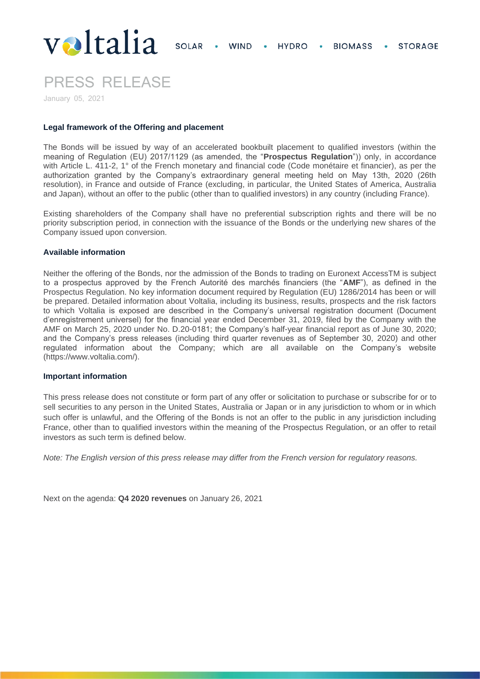

January 05, 2021

# **Legal framework of the Offering and placement**

The Bonds will be issued by way of an accelerated bookbuilt placement to qualified investors (within the meaning of Regulation (EU) 2017/1129 (as amended, the "**Prospectus Regulation**")) only, in accordance with Article L. 411-2, 1° of the French monetary and financial code (Code monétaire et financier), as per the authorization granted by the Company's extraordinary general meeting held on May 13th, 2020 (26th resolution), in France and outside of France (excluding, in particular, the United States of America, Australia and Japan), without an offer to the public (other than to qualified investors) in any country (including France).

Existing shareholders of the Company shall have no preferential subscription rights and there will be no priority subscription period, in connection with the issuance of the Bonds or the underlying new shares of the Company issued upon conversion.

# **Available information**

Neither the offering of the Bonds, nor the admission of the Bonds to trading on Euronext AccessTM is subject to a prospectus approved by the French Autorité des marchés financiers (the "**AMF**"), as defined in the Prospectus Regulation. No key information document required by Regulation (EU) 1286/2014 has been or will be prepared. Detailed information about Voltalia, including its business, results, prospects and the risk factors to which Voltalia is exposed are described in the Company's universal registration document (Document d'enregistrement universel) for the financial year ended December 31, 2019, filed by the Company with the AMF on March 25, 2020 under No. D.20-0181; the Company's half-year financial report as of June 30, 2020; and the Company's press releases (including third quarter revenues as of September 30, 2020) and other regulated information about the Company; which are all available on the Company's website (https://www.voltalia.com/).

### **Important information**

This press release does not constitute or form part of any offer or solicitation to purchase or subscribe for or to sell securities to any person in the United States, Australia or Japan or in any jurisdiction to whom or in which such offer is unlawful, and the Offering of the Bonds is not an offer to the public in any jurisdiction including France, other than to qualified investors within the meaning of the Prospectus Regulation, or an offer to retail investors as such term is defined below.

*Note: The English version of this press release may differ from the French version for regulatory reasons.*

Next on the agenda: **Q4 2020 revenues** on January 26, 2021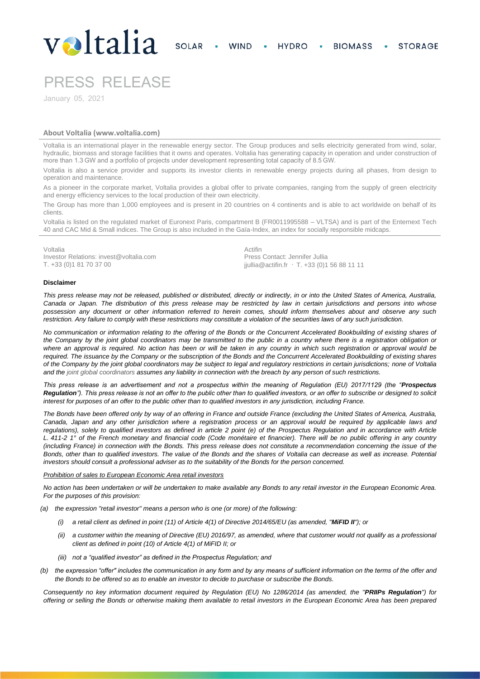voltalia

January 05, 2021

#### **About Voltalia [\(www.voltalia.com\)](http://www.voltalia.com/)**

Voltalia is an international player in the renewable energy sector. The Group produces and sells electricity generated from wind, solar, hydraulic, biomass and storage facilities that it owns and operates. Voltalia has generating capacity in operation and under construction of more than 1.3 GW and a portfolio of projects under development representing total capacity of 8.5 GW.

Voltalia is also a service provider and supports its investor clients in renewable energy projects during all phases, from design to operation and maintenance.

As a pioneer in the corporate market, Voltalia provides a global offer to private companies, ranging from the supply of green electricity and energy efficiency services to the local production of their own electricity.

The Group has more than 1,000 employees and is present in 20 countries on 4 continents and is able to act worldwide on behalf of its clients.

Voltalia is listed on the regulated market of Euronext Paris, compartment B (FR0011995588 – VLTSA) and is part of the Enternext Tech 40 and CAC Mid & Small indices. The Group is also included in the Gaïa-Index, an index for socially responsible midcaps.

Voltalia Investor Relations[: invest@voltalia.com](mailto:invest@voltalia.com) T. +33 (0)1 81 70 37 00

Actifin Press Contact: Jennifer Jullia jjullia@actifin.fr **.** T. +33 (0)1 56 88 11 11

#### **Disclaimer**

*This press release may not be released, published or distributed, directly or indirectly, in or into the United States of America, Australia, Canada or Japan. The distribution of this press release may be restricted by law in certain jurisdictions and persons into whose possession any document or other information referred to herein comes, should inform themselves about and observe any such restriction. Any failure to comply with these restrictions may constitute a violation of the securities laws of any such jurisdiction.*

*No communication or information relating to the offering of the Bonds or the Concurrent Accelerated Bookbuilding of existing shares of the Company by the joint global coordinators may be transmitted to the public in a country where there is a registration obligation or where an approval is required. No action has been or will be taken in any country in which such registration or approval would be required. The issuance by the Company or the subscription of the Bonds and the Concurrent Accelerated Bookbuilding of existing shares of the Company by the joint global coordinators may be subject to legal and regulatory restrictions in certain jurisdictions; none of Voltalia and the joint global coordinators assumes any liability in connection with the breach by any person of such restrictions.*

*This press release is an advertisement and not a prospectus within the meaning of Regulation (EU) 2017/1129 (the "Prospectus Regulation"). This press release is not an offer to the public other than to qualified investors, or an offer to subscribe or designed to solicit interest for purposes of an offer to the public other than to qualified investors in any jurisdiction, including France.*

*The Bonds have been offered only by way of an offering in France and outside France (excluding the United States of America, Australia, Canada, Japan and any other jurisdiction where a registration process or an approval would be required by applicable laws and regulations), solely to qualified investors as defined in article 2 point (e) of the Prospectus Regulation and in accordance with Article L. 411-2 1° of the French monetary and financial code (Code monétaire et financier). There will be no public offering in any country (including France) in connection with the Bonds. This press release does not constitute a recommendation concerning the issue of the Bonds, other than to qualified investors. The value of the Bonds and the shares of Voltalia can decrease as well as increase. Potential investors should consult a professional adviser as to the suitability of the Bonds for the person concerned.*

#### *Prohibition of sales to European Economic Area retail investors*

*No action has been undertaken or will be undertaken to make available any Bonds to any retail investor in the European Economic Area. For the purposes of this provision:*

- *(a) the expression "retail investor" means a person who is one (or more) of the following:*
	- *(i) a retail client as defined in point (11) of Article 4(1) of Directive 2014/65/EU (as amended, "MiFID II"); or*
	- *(ii) a customer within the meaning of Directive (EU) 2016/97, as amended, where that customer would not qualify as a professional client as defined in point (10) of Article 4(1) of MiFID II; or*
	- *(iii) not a "qualified investor" as defined in the Prospectus Regulation; and*
- *(b) the expression "offer" includes the communication in any form and by any means of sufficient information on the terms of the offer and the Bonds to be offered so as to enable an investor to decide to purchase or subscribe the Bonds.*

*Consequently no key information document required by Regulation (EU) No 1286/2014 (as amended, the "PRIIPs Regulation") for offering or selling the Bonds or otherwise making them available to retail investors in the European Economic Area has been prepared*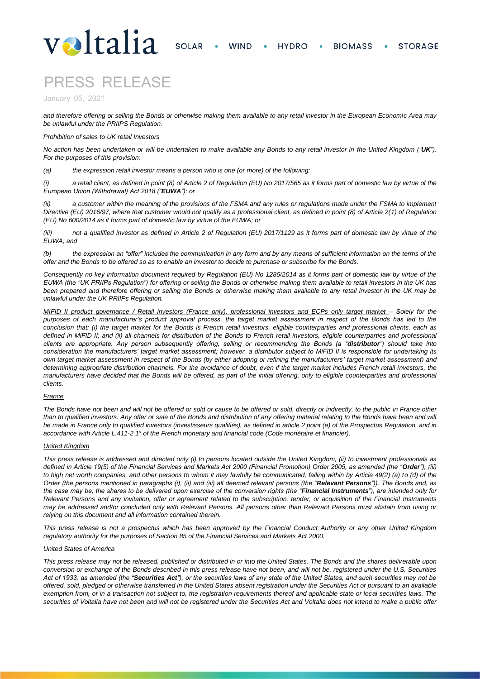voltalia

January 05, 2021

*and therefore offering or selling the Bonds or otherwise making them available to any retail investor in the European Economic Area may be unlawful under the PRIIPS Regulation.*

#### *Prohibition of sales to UK retail Investors*

*No action has been undertaken or will be undertaken to make available any Bonds to any retail investor in the United Kingdom ("UK"). For the purposes of this provision:*

*(a) the expression retail investor means a person who is one (or more) of the following:*

*(i) a retail client, as defined in point (8) of Article 2 of Regulation (EU) No 2017/565 as it forms part of domestic law by virtue of the European Union (Withdrawal) Act 2018 ("EUWA"); or*

*(ii) a customer within the meaning of the provisions of the FSMA and any rules or regulations made under the FSMA to implement Directive (EU) 2016/97, where that customer would not qualify as a professional client, as defined in point (8) of Article 2(1) of Regulation (EU) No 600/2014 as it forms part of domestic law by virtue of the EUWA; or*

*(iii) not a qualified investor as defined in Article 2 of Regulation (EU) 2017/1129 as it forms part of domestic law by virtue of the EUWA; and*

*(b) the expression an "offer" includes the communication in any form and by any means of sufficient information on the terms of the offer and the Bonds to be offered so as to enable an investor to decide to purchase or subscribe for the Bonds.*

*Consequently no key information document required by Regulation (EU) No 1286/2014 as it forms part of domestic law by virtue of the EUWA (the "UK PRIIPs Regulation") for offering or selling the Bonds or otherwise making them available to retail investors in the UK has been prepared and therefore offering or selling the Bonds or otherwise making them available to any retail investor in the UK may be unlawful under the UK PRIIPs Regulation.*

*MIFID II product governance / Retail investors (France only), professional investors and ECPs only target market – Solely for the purposes of each manufacturer's product approval process, the target market assessment in respect of the Bonds has led to the conclusion that: (i) the target market for the Bonds is French retail investors, eligible counterparties and professional clients, each as*  defined in MiFID II; and (ii) all channels for distribution of the Bonds to French retail investors, eligible counterparties and professional *clients are appropriate. Any person subsequently offering, selling or recommending the Bonds (a "distributor") should take into consideration the manufacturers' target market assessment; however, a distributor subject to MiFID II is responsible for undertaking its own target market assessment in respect of the Bonds (by either adopting or refining the manufacturers' target market assessment) and determining appropriate distribution channels. For the avoidance of doubt, even if the target market includes French retail investors, the manufacturers have decided that the Bonds will be offered, as part of the initial offering, only to eligible counterparties and professional clients.*

#### *France*

The Bonds have not been and will not be offered or sold or cause to be offered or sold, directly or indirectly, to the public in France other than to qualified investors. Any offer or sale of the Bonds and distribution of any offering material relating to the Bonds have been and will *be made in France only to qualified investors (investisseurs qualifiés), as defined in article 2 point (e) of the Prospectus Regulation, and in accordance with Article L.411-2 1° of the French monetary and financial code (Code monétaire et financier).*

#### *United Kingdom*

*This press release is addressed and directed only (i) to persons located outside the United Kingdom, (ii) to investment professionals as defined in Article 19(5) of the Financial Services and Markets Act 2000 (Financial Promotion) Order 2005, as amended (the "Order"), (iii) to high net worth companies, and other persons to whom it may lawfully be communicated, falling within by Article 49(2) (a) to (d) of the Order (the persons mentioned in paragraphs (i), (ii) and (iii) all deemed relevant persons (the "Relevant Persons")). The Bonds and, as the case may be, the shares to be delivered upon exercise of the conversion rights (the "Financial Instruments"), are intended only for Relevant Persons and any invitation, offer or agreement related to the subscription, tender, or acquisition of the Financial Instruments may be addressed and/or concluded only with Relevant Persons. All persons other than Relevant Persons must abstain from using or relying on this document and all information contained therein.*

*This press release is not a prospectus which has been approved by the Financial Conduct Authority or any other United Kingdom regulatory authority for the purposes of Section 85 of the Financial Services and Markets Act 2000.*

#### *United States of America*

*This press release may not be released, published or distributed in or into the United States. The Bonds and the shares deliverable upon conversion or exchange of the Bonds described in this press release have not been, and will not be, registered under the U.S. Securities Act of 1933, as amended (the "Securities Act"), or the securities laws of any state of the United States, and such securities may not be offered, sold, pledged or otherwise transferred in the United States absent registration under the Securities Act or pursuant to an available exemption from, or in a transaction not subject to, the registration requirements thereof and applicable state or local securities laws. The securities of Voltalia have not been and will not be registered under the Securities Act and Voltalia does not intend to make a public offer*